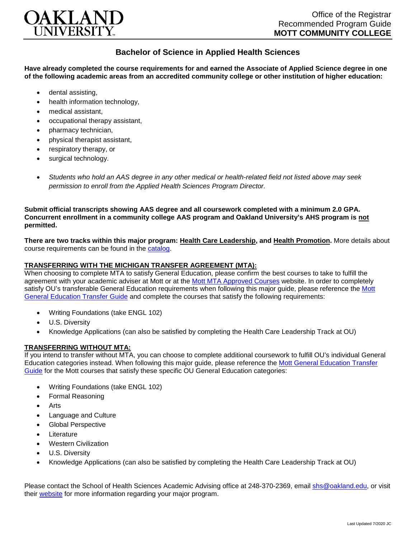

## **Bachelor of Science in Applied Health Sciences**

**Have already completed the course requirements for and earned the Associate of Applied Science degree in one of the following academic areas from an accredited community college or other institution of higher education:**

- dental assisting,
- health information technology.
- medical assistant,
- occupational therapy assistant,
- pharmacy technician,
- physical therapist assistant,
- respiratory therapy, or
- surgical technology.
- *Students who hold an AAS degree in any other medical or health-related field not listed above may seek permission to enroll from the Applied Health Sciences Program Director.*

**Submit official transcripts showing AAS degree and all coursework completed with a minimum 2.0 GPA. Concurrent enrollment in a community college AAS program and Oakland University's AHS program is not permitted.**

**There are two tracks within this major program: Health Care Leadership, and Health Promotion.** More details about course requirements can be found in the [catalog.](http://catalog.oakland.edu/preview_program.php?catoid=49&poid=8362)

## **TRANSFERRING WITH THE MICHIGAN TRANSFER AGREEMENT (MTA):**

When choosing to complete MTA to satisfy General Education, please confirm the best courses to take to fulfill the agreement with your academic adviser at Mott or at the [Mott MTA Approved Courses](https://www.mcc.edu/counseling_student_dev/casd_mi_transfer_agreement.shtml) website. In order to completely satisfy OU's transferable General Education requirements when following this major guide, please reference the [Mott](https://www.oakland.edu/Assets/Oakland/program-guides/mott-community-college/university-general-education-requirements/Mott%20Gen%20Ed.pdf)  [General Education Transfer Guide](https://www.oakland.edu/Assets/Oakland/program-guides/mott-community-college/university-general-education-requirements/Mott%20Gen%20Ed.pdf) and complete the courses that satisfy the following requirements:

- Writing Foundations (take ENGL 102)
- U.S. Diversity
- Knowledge Applications (can also be satisfied by completing the Health Care Leadership Track at OU)

## **TRANSFERRING WITHOUT MTA:**

If you intend to transfer without MTA, you can choose to complete additional coursework to fulfill OU's individual General Education categories instead. When following this major guide, please reference the [Mott General Education Transfer](https://www.oakland.edu/Assets/Oakland/program-guides/mott-community-college/university-general-education-requirements/Mott%20Gen%20Ed.pdf)  [Guide](https://www.oakland.edu/Assets/Oakland/program-guides/mott-community-college/university-general-education-requirements/Mott%20Gen%20Ed.pdf) for the Mott courses that satisfy these specific OU General Education categories:

- Writing Foundations (take ENGL 102)
- Formal Reasoning
- Arts
- Language and Culture
- Global Perspective
- **Literature**
- Western Civilization
- U.S. Diversity
- Knowledge Applications (can also be satisfied by completing the Health Care Leadership Track at OU)

Please contact the School of Health Sciences Academic Advising office at 248-370-2369, email [shs@oakland.edu,](mailto:shs@oakland.edu) or visit their [website](http://www.oakland.edu/shs/advising) for more information regarding your major program.